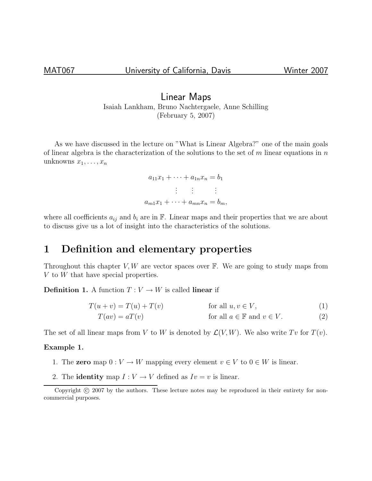### Linear Maps Isaiah Lankham, Bruno Nachtergaele, Anne Schilling (February 5, 2007)

As we have discussed in the lecture on "What is Linear Algebra?" one of the main goals of linear algebra is the characterization of the solutions to the set of  $m$  linear equations in  $n$ unknowns  $x_1, \ldots, x_n$ 

> $a_{11}x_1 + \cdots + a_{1n}x_n = b_1$ . . . . . . . . .  $a_{m1}x_1 + \cdots + a_{mn}x_n = b_m,$

where all coefficients  $a_{ij}$  and  $b_i$  are in  $\mathbb F$ . Linear maps and their properties that we are about to discuss give us a lot of insight into the characteristics of the solutions.

# 1 Definition and elementary properties

Throughout this chapter  $V, W$  are vector spaces over  $\mathbb{F}$ . We are going to study maps from V to W that have special properties.

**Definition 1.** A function  $T: V \to W$  is called **linear** if

$$
T(u+v) = T(u) + T(v)
$$
 for all  $u, v \in V$ , (1)

$$
T(av) = aT(v)
$$
 for all  $a \in \mathbb{F}$  and  $v \in V$ . (2)

The set of all linear maps from V to W is denoted by  $\mathcal{L}(V, W)$ . We also write Tv for  $T(v)$ .

### Example 1.

- 1. The **zero** map  $0: V \to W$  mapping every element  $v \in V$  to  $0 \in W$  is linear.
- 2. The **identity** map  $I: V \to V$  defined as  $I v = v$  is linear.

Copyright (c) 2007 by the authors. These lecture notes may be reproduced in their entirety for noncommercial purposes.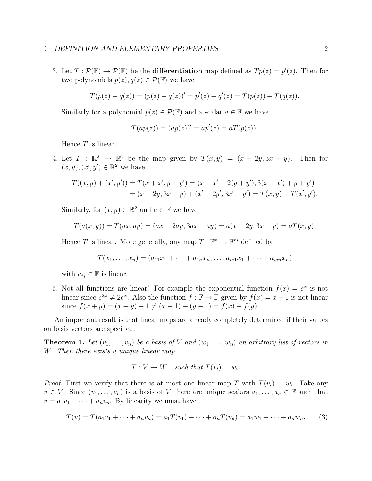3. Let  $T: \mathcal{P}(\mathbb{F}) \to \mathcal{P}(\mathbb{F})$  be the **differentiation** map defined as  $Tp(z) = p'(z)$ . Then for two polynomials  $p(z), q(z) \in \mathcal{P}(\mathbb{F})$  we have

$$
T(p(z) + q(z)) = (p(z) + q(z))' = p'(z) + q'(z) = T(p(z)) + T(q(z)).
$$

Similarly for a polynomial  $p(z) \in \mathcal{P}(\mathbb{F})$  and a scalar  $a \in \mathbb{F}$  we have

$$
T(ap(z)) = (ap(z))' = ap'(z) = aT(p(z)).
$$

Hence  $T$  is linear.

4. Let  $T : \mathbb{R}^2 \to \mathbb{R}^2$  be the map given by  $T(x, y) = (x - 2y, 3x + y)$ . Then for  $(x, y), (x', y') \in \mathbb{R}^2$  we have

$$
T((x,y) + (x',y')) = T(x+x',y+y') = (x+x'-2(y+y'),3(x+x') + y+y')= (x-2y,3x+y) + (x'-2y',3x'+y') = T(x,y) + T(x',y').
$$

Similarly, for  $(x, y) \in \mathbb{R}^2$  and  $a \in \mathbb{F}$  we have

$$
T(a(x, y)) = T(ax, ay) = (ax - 2ay, 3ax + ay) = a(x - 2y, 3x + y) = aT(x, y).
$$

Hence T is linear. More generally, any map  $T : \mathbb{F}^n \to \mathbb{F}^m$  defined by

$$
T(x_1, \ldots, x_n) = (a_{11}x_1 + \cdots + a_{1n}x_n, \ldots, a_{m1}x_1 + \cdots + a_{mn}x_n)
$$

with  $a_{ij} \in \mathbb{F}$  is linear.

5. Not all functions are linear! For example the exponential function  $f(x) = e^x$  is not linear since  $e^{2x} \neq 2e^x$ . Also the function  $f : \mathbb{F} \to \mathbb{F}$  given by  $f(x) = x - 1$  is not linear since  $f(x + y) = (x + y) - 1 \neq (x - 1) + (y - 1) = f(x) + f(y)$ .

An important result is that linear maps are already completely determined if their values on basis vectors are specified.

**Theorem 1.** Let  $(v_1, \ldots, v_n)$  be a basis of V and  $(w_1, \ldots, w_n)$  an arbitrary list of vectors in W. Then there exists a unique linear map

$$
T: V \to W \quad such \, that \, T(v_i) = w_i.
$$

*Proof.* First we verify that there is at most one linear map T with  $T(v_i) = w_i$ . Take any  $v \in V$ . Since  $(v_1, \ldots, v_n)$  is a basis of V there are unique scalars  $a_1, \ldots, a_n \in \mathbb{F}$  such that  $v = a_1v_1 + \cdots + a_nv_n$ . By linearity we must have

$$
T(v) = T(a_1v_1 + \dots + a_nv_n) = a_1T(v_1) + \dots + a_nT(v_n) = a_1w_1 + \dots + a_nw_n, \qquad (3)
$$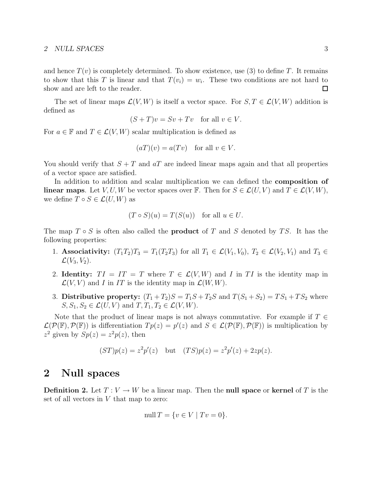#### 2 NULL SPACES 3

and hence  $T(v)$  is completely determined. To show existence, use (3) to define T. It remains to show that this T is linear and that  $T(v_i) = w_i$ . These two conditions are not hard to show and are left to the reader.  $\Box$ 

The set of linear maps  $\mathcal{L}(V, W)$  is itself a vector space. For  $S, T \in \mathcal{L}(V, W)$  addition is defined as

$$
(S+T)v = Sv + Tv \text{ for all } v \in V.
$$

For  $a \in \mathbb{F}$  and  $T \in \mathcal{L}(V, W)$  scalar multiplication is defined as

$$
(aT)(v) = a(Tv) \text{ for all } v \in V.
$$

You should verify that  $S + T$  and  $aT$  are indeed linear maps again and that all properties of a vector space are satisfied.

In addition to addition and scalar multiplication we can defined the **composition of linear maps**. Let V, U, W be vector spaces over F. Then for  $S \in \mathcal{L}(U, V)$  and  $T \in \mathcal{L}(V, W)$ , we define  $T \circ S \in \mathcal{L}(U, W)$  as

$$
(T \circ S)(u) = T(S(u))
$$
 for all  $u \in U$ .

The map  $T \circ S$  is often also called the **product** of T and S denoted by TS. It has the following properties:

- 1. Associativity:  $(T_1T_2)T_3 = T_1(T_2T_3)$  for all  $T_1 \in \mathcal{L}(V_1, V_0)$ ,  $T_2 \in \mathcal{L}(V_2, V_1)$  and  $T_3 \in$  $\mathcal{L}(V_3, V_2)$ .
- 2. Identity:  $TI = IT = T$  where  $T \in \mathcal{L}(V, W)$  and I in TI is the identity map in  $\mathcal{L}(V, V)$  and I in IT is the identity map in  $\mathcal{L}(W, W)$ .
- 3. Distributive property:  $(T_1 + T_2)S = T_1S + T_2S$  and  $T(S_1 + S_2) = TS_1 + TS_2$  where  $S, S_1, S_2 \in \mathcal{L}(U, V)$  and  $T, T_1, T_2 \in \mathcal{L}(V, W)$ .

Note that the product of linear maps is not always commutative. For example if  $T \in$  $\mathcal{L}(\mathcal{P}(\mathbb{F}), \mathcal{P}(\mathbb{F}))$  is differentiation  $Tp(z) = p'(z)$  and  $S \in \mathcal{L}(\mathcal{P}(\mathbb{F}), \mathcal{P}(\mathbb{F}))$  is multiplication by  $z^2$  given by  $Sp(z) = z^2 p(z)$ , then

$$
(ST)p(z) = z^2p'(z)
$$
 but  $(TS)p(z) = z^2p'(z) + 2zp(z)$ .

### 2 Null spaces

**Definition 2.** Let  $T: V \to W$  be a linear map. Then the **null space** or **kernel** of T is the set of all vectors in  $V$  that map to zero:

$$
\operatorname{null} T = \{ v \in V \mid Tv = 0 \}.
$$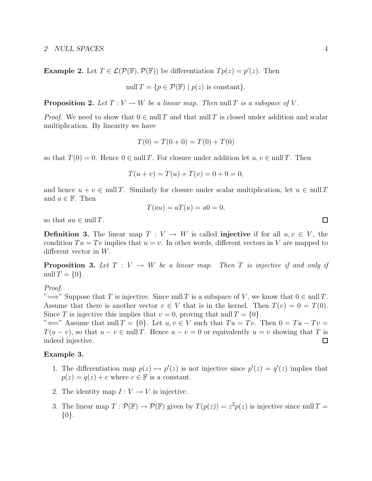**Example 2.** Let  $T \in \mathcal{L}(\mathcal{P}(\mathbb{F}), \mathcal{P}(\mathbb{F}))$  be differentiation  $Tp(z) = p'(z)$ . Then

$$
\text{null } T = \{ p \in \mathcal{P}(\mathbb{F}) \mid p(z) \text{ is constant} \}.
$$

**Proposition 2.** Let  $T: V \to W$  be a linear map. Then null T is a subspace of V.

*Proof.* We need to show that  $0 \in \text{null } T$  and that null T is closed under addition and scalar multiplication. By linearity we have

$$
T(0) = T(0+0) = T(0) + T(0)
$$

so that  $T(0) = 0$ . Hence  $0 \in \text{null } T$ . For closure under addition let  $u, v \in \text{null } T$ . Then

$$
T(u + v) = T(u) + T(v) = 0 + 0 = 0,
$$

and hence  $u + v \in \text{null } T$ . Similarly for closure under scalar multiplication, let  $u \in \text{null } T$ and  $a \in \mathbb{F}$ . Then

$$
T(au) = aT(u) = a0 = 0,
$$

so that  $au \in \text{null } T$ .

**Definition 3.** The linear map  $T: V \to W$  is called **injective** if for all  $u, v \in V$ , the condition  $Tu = Tv$  implies that  $u = v$ . In other words, different vectors in V are mapped to different vector in W.

**Proposition 3.** Let  $T: V \to W$  be a linear map. Then T is injective if and only if null  $T = \{0\}.$ 

Proof.

" $\implies$ " Suppose that T is injective. Since null T is a subspace of V, we know that  $0 \in \text{null } T$ . Assume that there is another vector  $v \in V$  that is in the kernel. Then  $T(v) = 0 = T(0)$ . Since T is injective this implies that  $v = 0$ , proving that null  $T = \{0\}$ .

" $\Longleftarrow$ " Assume that null  $T = \{0\}$ . Let  $u, v \in V$  such that  $Tu = Tv$ . Then  $0 = Tu - Tv$  $T(u - v)$ , so that  $u - v \in \text{null } T$ . Hence  $u - v = 0$  or equivalently  $u = v$  showing that T is indeed injective.  $\Box$ 

#### Example 3.

- 1. The differentiation map  $p(z) \mapsto p'(z)$  is not injective since  $p'(z) = q'(z)$  implies that  $p(z) = q(z) + c$  where  $c \in \mathbb{F}$  is a constant.
- 2. The identity map  $I: V \to V$  is injective.
- 3. The linear map  $T: \mathcal{P}(\mathbb{F}) \to \mathcal{P}(\mathbb{F})$  given by  $T(p(z)) = z^2 p(z)$  is injective since null  $T =$ {0}.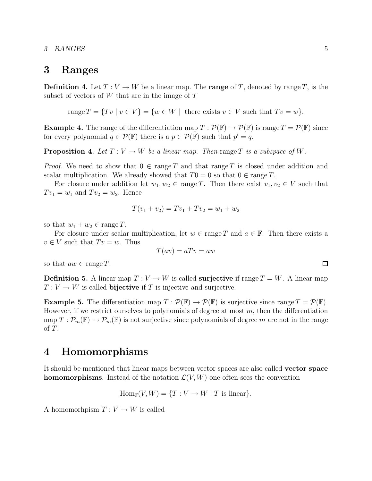3 RANGES 5

### 3 Ranges

**Definition 4.** Let  $T: V \to W$  be a linear map. The **range** of T, denoted by range T, is the subset of vectors of W that are in the image of  $T$ 

range  $T = \{Tv \mid v \in V\} = \{w \in W \mid \text{ there exists } v \in V \text{ such that } Tv = w\}.$ 

**Example 4.** The range of the differentiation map  $T : \mathcal{P}(\mathbb{F}) \to \mathcal{P}(\mathbb{F})$  is range  $T = \mathcal{P}(\mathbb{F})$  since for every polynomial  $q \in \mathcal{P}(\mathbb{F})$  there is a  $p \in \mathcal{P}(\mathbb{F})$  such that  $p' = q$ .

**Proposition 4.** Let  $T: V \to W$  be a linear map. Then range T is a subspace of W.

*Proof.* We need to show that  $0 \in \text{range } T$  and that range T is closed under addition and scalar multiplication. We already showed that  $T0 = 0$  so that  $0 \in \text{range } T$ .

For closure under addition let  $w_1, w_2 \in \text{range } T$ . Then there exist  $v_1, v_2 \in V$  such that  $Tv_1 = w_1$  and  $Tv_2 = w_2$ . Hence

$$
T(v_1 + v_2) = Tv_1 + Tv_2 = w_1 + w_2
$$

so that  $w_1 + w_2 \in \text{range } T$ .

For closure under scalar multiplication, let  $w \in \text{range } T$  and  $a \in \mathbb{F}$ . Then there exists a  $v \in V$  such that  $Tv = w$ . Thus

$$
T(av) = aTv = aw
$$

so that  $aw \in \text{range } T$ .

**Definition 5.** A linear map  $T: V \to W$  is called **surjective** if range  $T = W$ . A linear map  $T: V \to W$  is called **bijective** if T is injective and surjective.

**Example 5.** The differentiation map  $T : \mathcal{P}(\mathbb{F}) \to \mathcal{P}(\mathbb{F})$  is surjective since range  $T = \mathcal{P}(\mathbb{F})$ . However, if we restrict ourselves to polynomials of degree at most  $m$ , then the differentiation map  $T: \mathcal{P}_m(\mathbb{F}) \to \mathcal{P}_m(\mathbb{F})$  is not surjective since polynomials of degree m are not in the range of T.

# 4 Homomorphisms

It should be mentioned that linear maps between vector spaces are also called vector space **homomorphisms**. Instead of the notation  $\mathcal{L}(V, W)$  one often sees the convention

$$
Hom_{\mathbb{F}}(V,W) = \{T : V \to W \mid T \text{ is linear}\}.
$$

A homomorhpism  $T: V \to W$  is called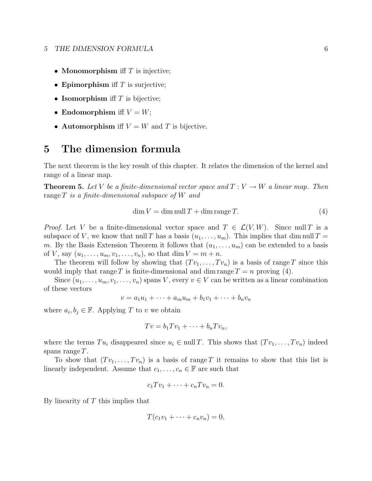#### 5 THE DIMENSION FORMULA 6

- Monomorphism iff  $T$  is injective;
- Epimorphism iff  $T$  is surjective;
- Isomorphism iff  $T$  is bijective;
- Endomorphism if  $V = W$ ;
- Automorphism iff  $V = W$  and T is bijective.

## 5 The dimension formula

The next theorem is the key result of this chapter. It relates the dimension of the kernel and range of a linear map.

**Theorem 5.** Let V be a finite-dimensional vector space and  $T: V \to W$  a linear map. Then range  $T$  is a finite-dimensional subspace of  $W$  and

$$
\dim V = \dim \operatorname{null} T + \dim \operatorname{range} T. \tag{4}
$$

*Proof.* Let V be a finite-dimensional vector space and  $T \in \mathcal{L}(V, W)$ . Since null T is a subspace of V, we know that null T has a basis  $(u_1, \ldots, u_m)$ . This implies that dim null T = m. By the Basis Extension Theorem it follows that  $(u_1, \ldots, u_m)$  can be extended to a basis of V, say  $(u_1, ..., u_m, v_1, ..., v_n)$ , so that dim  $V = m + n$ .

The theorem will follow by showing that  $(Tv_1, \ldots, Tv_n)$  is a basis of range T since this would imply that range T is finite-dimensional and dim range  $T = n$  proving (4).

Since  $(u_1, \ldots, u_m, v_1, \ldots, v_n)$  spans V, every  $v \in V$  can be written as a linear combination of these vectors

$$
v = a_1u_1 + \dots + a_mu_m + b_1v_1 + \dots + b_nv_n
$$

where  $a_i, b_j \in \mathbb{F}$ . Applying T to v we obtain

$$
Tv = b_1Tv_1 + \cdots + b_nTv_n,
$$

where the terms  $Tu_i$  disappeared since  $u_i \in \text{null } T$ . This shows that  $(Tv_1, \ldots, Tv_n)$  indeed spans range  $T$ .

To show that  $(Tv_1, \ldots, Tv_n)$  is a basis of range T it remains to show that this list is linearly independent. Assume that  $c_1, \ldots, c_n \in \mathbb{F}$  are such that

$$
c_1 T v_1 + \cdots + c_n T v_n = 0.
$$

By linearity of  $T$  this implies that

$$
T(c_1v_1+\cdots+c_nv_n)=0,
$$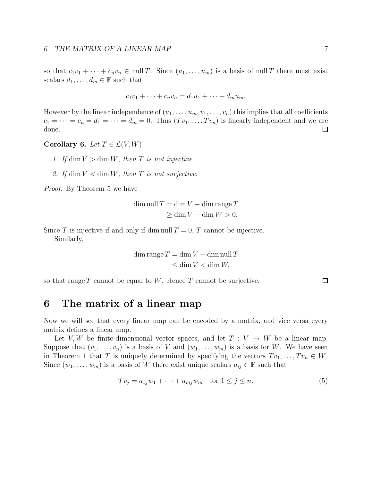so that  $c_1v_1 + \cdots + c_nv_n \in \text{null } T$ . Since  $(u_1, \ldots, u_m)$  is a basis of null T there must exist scalars  $d_1, \ldots, d_m \in \mathbb{F}$  such that

$$
c_1v_1+\cdots+c_nv_n=d_1u_1+\cdots+d_mu_m.
$$

However by the linear independence of  $(u_1, \ldots, u_m, v_1, \ldots, v_n)$  this implies that all coefficients  $c_1 = \cdots = c_n = d_1 = \cdots = d_m = 0$ . Thus  $(Tv_1, \ldots, Tv_n)$  is linearly independent and we are done.  $\Box$ 

Corollary 6. Let  $T \in \mathcal{L}(V, W)$ .

- 1. If  $\dim V > \dim W$ , then T is not injective.
- 2. If  $\dim V < \dim W$ , then T is not surjective.

Proof. By Theorem 5 we have

$$
\dim \operatorname{null} T = \dim V - \dim \operatorname{range} T
$$

$$
\geq \dim V - \dim W > 0.
$$

Since T is injective if and only if dim null  $T = 0$ , T cannot be injective. Similarly,

$$
\dim \operatorname{range} T = \dim V - \dim \operatorname{null} T
$$
  

$$
\leq \dim V < \dim W,
$$

so that range  $T$  cannot be equal to  $W$ . Hence  $T$  cannot be surjective.

### 6 The matrix of a linear map

Now we will see that every linear map can be encoded by a matrix, and vice versa every matrix defines a linear map.

Let V, W be finite-dimensional vector spaces, and let  $T: V \to W$  be a linear map. Suppose that  $(v_1, \ldots, v_n)$  is a basis of V and  $(w_1, \ldots, w_m)$  is a basis for W. We have seen in Theorem 1 that T is uniquely determined by specifying the vectors  $Tv_1, \ldots, Tv_n \in W$ . Since  $(w_1, \ldots, w_m)$  is a basis of W there exist unique scalars  $a_{ij} \in \mathbb{F}$  such that

$$
Tv_j = a_{1j}w_1 + \dots + a_{mj}w_m \quad \text{for } 1 \le j \le n. \tag{5}
$$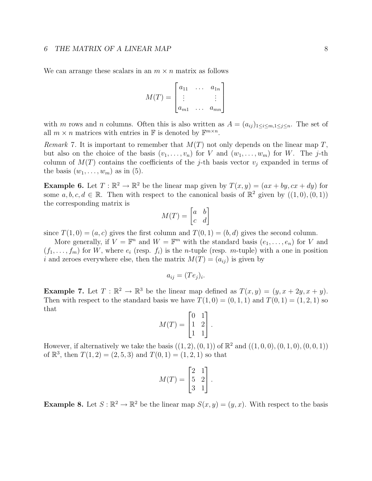### 6 THE MATRIX OF A LINEAR MAP 88

We can arrange these scalars in an  $m \times n$  matrix as follows

$$
M(T) = \begin{bmatrix} a_{11} & \dots & a_{1n} \\ \vdots & & \vdots \\ a_{m1} & \dots & a_{mn} \end{bmatrix}
$$

with m rows and n columns. Often this is also written as  $A = (a_{ij})_{1 \le i \le m, 1 \le j \le n}$ . The set of all  $m \times n$  matrices with entries in  $\mathbb F$  is denoted by  $\mathbb F^{m \times n}$ .

Remark 7. It is important to remember that  $M(T)$  not only depends on the linear map T, but also on the choice of the basis  $(v_1, \ldots, v_n)$  for V and  $(w_1, \ldots, w_m)$  for W. The j-th column of  $M(T)$  contains the coefficients of the j-th basis vector  $v_j$  expanded in terms of the basis  $(w_1, \ldots, w_m)$  as in (5).

**Example 6.** Let  $T : \mathbb{R}^2 \to \mathbb{R}^2$  be the linear map given by  $T(x, y) = (ax + by, cx + dy)$  for some  $a, b, c, d \in \mathbb{R}$ . Then with respect to the canonical basis of  $\mathbb{R}^2$  given by  $((1,0),(0,1))$ the corresponding matrix is

$$
M(T) = \begin{bmatrix} a & b \\ c & d \end{bmatrix}
$$

since  $T(1,0) = (a, c)$  gives the first column and  $T(0, 1) = (b, d)$  gives the second column.

More generally, if  $V = \mathbb{F}^n$  and  $W = \mathbb{F}^m$  with the standard basis  $(e_1, \ldots, e_n)$  for V and  $(f_1, \ldots, f_m)$  for W, where  $e_i$  (resp.  $f_i$ ) is the *n*-tuple (resp. *m*-tuple) with a one in position i and zeroes everywhere else, then the matrix  $M(T) = (a_{ij})$  is given by

$$
a_{ij} = (Te_j)_i.
$$

**Example 7.** Let  $T : \mathbb{R}^2 \to \mathbb{R}^3$  be the linear map defined as  $T(x, y) = (y, x + 2y, x + y)$ . Then with respect to the standard basis we have  $T(1, 0) = (0, 1, 1)$  and  $T(0, 1) = (1, 2, 1)$  so that

$$
M(T) = \begin{bmatrix} 0 & 1 \\ 1 & 2 \\ 1 & 1 \end{bmatrix}.
$$

However, if alternatively we take the basis  $((1, 2), (0, 1))$  of  $\mathbb{R}^2$  and  $((1, 0, 0), (0, 1, 0), (0, 0, 1))$ of  $\mathbb{R}^3$ , then  $T(1, 2) = (2, 5, 3)$  and  $T(0, 1) = (1, 2, 1)$  so that

$$
M(T) = \begin{bmatrix} 2 & 1 \\ 5 & 2 \\ 3 & 1 \end{bmatrix}.
$$

**Example 8.** Let  $S : \mathbb{R}^2 \to \mathbb{R}^2$  be the linear map  $S(x, y) = (y, x)$ . With respect to the basis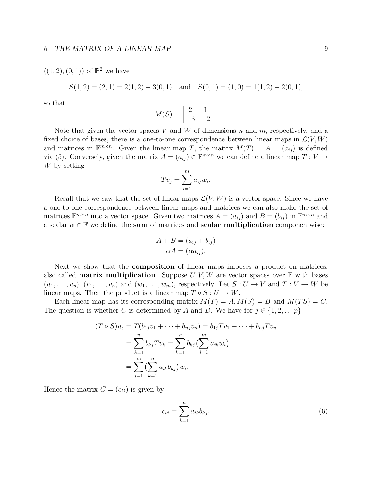### 6 THE MATRIX OF A LINEAR MAP 9

### $((1, 2), (0, 1))$  of  $\mathbb{R}^2$  we have

$$
S(1,2) = (2,1) = 2(1,2) - 3(0,1)
$$
 and  $S(0,1) = (1,0) = 1(1,2) - 2(0,1)$ ,

so that

$$
M(S) = \begin{bmatrix} 2 & 1 \\ -3 & -2 \end{bmatrix}.
$$

Note that given the vector spaces V and W of dimensions n and  $m$ , respectively, and a fixed choice of bases, there is a one-to-one correspondence between linear maps in  $\mathcal{L}(V, W)$ and matrices in  $\mathbb{F}^{m \times n}$ . Given the linear map T, the matrix  $M(T) = A = (a_{ij})$  is defined via (5). Conversely, given the matrix  $A = (a_{ij}) \in \mathbb{F}^{m \times n}$  we can define a linear map  $T: V \to$ W by setting

$$
Tv_j = \sum_{i=1}^{m} a_{ij}w_i.
$$

Recall that we saw that the set of linear maps  $\mathcal{L}(V, W)$  is a vector space. Since we have a one-to-one correspondence between linear maps and matrices we can also make the set of matrices  $\mathbb{F}^{m \times n}$  into a vector space. Given two matrices  $A = (a_{ij})$  and  $B = (b_{ij})$  in  $\mathbb{F}^{m \times n}$  and a scalar  $\alpha \in \mathbb{F}$  we define the sum of matrices and scalar multiplication componentwise:

$$
A + B = (a_{ij} + b_{ij})
$$

$$
\alpha A = (\alpha a_{ij}).
$$

Next we show that the **composition** of linear maps imposes a product on matrices, also called **matrix multiplication**. Suppose  $U, V, W$  are vector spaces over  $\mathbb{F}$  with bases  $(u_1, \ldots, u_p), (v_1, \ldots, v_n)$  and  $(w_1, \ldots, w_m)$ , respectively. Let  $S: U \to V$  and  $T: V \to W$  be linear maps. Then the product is a linear map  $T \circ S : U \to W$ .

Each linear map has its corresponding matrix  $M(T) = A, M(S) = B$  and  $M(TS) = C$ . The question is whether C is determined by A and B. We have for  $j \in \{1, 2, \ldots p\}$ 

$$
(T \circ S)u_j = T(b_{1j}v_1 + \dots + b_{nj}v_n) = b_{1j}Tv_1 + \dots + b_{nj}Tv_n
$$
  
= 
$$
\sum_{k=1}^n b_{kj}Tv_k = \sum_{k=1}^n b_{kj}(\sum_{i=1}^m a_{ik}w_i)
$$
  
= 
$$
\sum_{i=1}^m (\sum_{k=1}^n a_{ik}b_{kj})w_i.
$$

Hence the matrix  $C = (c_{ij})$  is given by

$$
c_{ij} = \sum_{k=1}^{n} a_{ik} b_{kj}.
$$
 (6)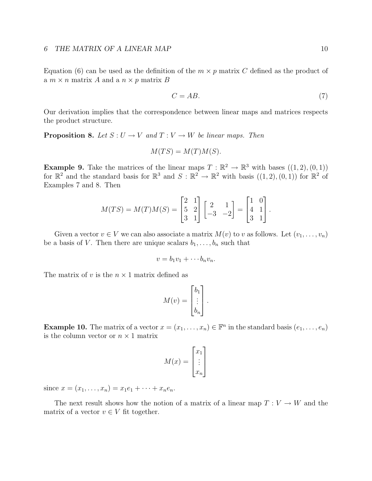Equation (6) can be used as the definition of the  $m \times p$  matrix C defined as the product of a  $m \times n$  matrix A and a  $n \times p$  matrix B

$$
C = AB.
$$
\n<sup>(7)</sup>

Our derivation implies that the correspondence between linear maps and matrices respects the product structure.

**Proposition 8.** Let  $S: U \to V$  and  $T: V \to W$  be linear maps. Then

$$
M(TS) = M(T)M(S).
$$

**Example 9.** Take the matrices of the linear maps  $T : \mathbb{R}^2 \to \mathbb{R}^3$  with bases  $((1, 2), (0, 1))$ for  $\mathbb{R}^2$  and the standard basis for  $\mathbb{R}^3$  and  $S: \mathbb{R}^2 \to \mathbb{R}^2$  with basis  $((1, 2), (0, 1))$  for  $\mathbb{R}^2$  of Examples 7 and 8. Then

$$
M(TS) = M(T)M(S) = \begin{bmatrix} 2 & 1 \\ 5 & 2 \\ 3 & 1 \end{bmatrix} \begin{bmatrix} 2 & 1 \\ -3 & -2 \end{bmatrix} = \begin{bmatrix} 1 & 0 \\ 4 & 1 \\ 3 & 1 \end{bmatrix}.
$$

Given a vector  $v \in V$  we can also associate a matrix  $M(v)$  to v as follows. Let  $(v_1, \ldots, v_n)$ be a basis of V. Then there are unique scalars  $b_1, \ldots, b_n$  such that

$$
v = b_1v_1 + \cdots b_nv_n.
$$

The matrix of v is the  $n \times 1$  matrix defined as

$$
M(v) = \begin{bmatrix} b_1 \\ \vdots \\ b_n \end{bmatrix}.
$$

**Example 10.** The matrix of a vector  $x = (x_1, \ldots, x_n) \in \mathbb{F}^n$  in the standard basis  $(e_1, \ldots, e_n)$ is the column vector or  $n\times 1$  matrix

$$
M(x) = \begin{bmatrix} x_1 \\ \vdots \\ x_n \end{bmatrix}
$$

since  $x = (x_1, \ldots, x_n) = x_1e_1 + \cdots + x_ne_n$ .

The next result shows how the notion of a matrix of a linear map  $T: V \to W$  and the matrix of a vector  $v \in V$  fit together.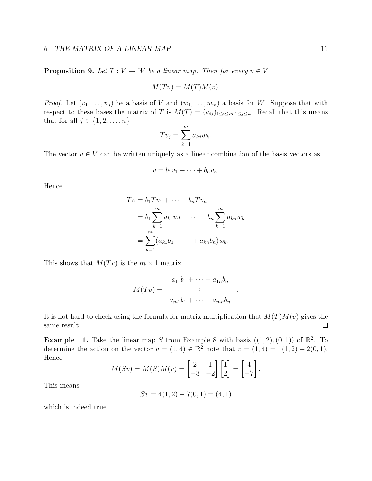#### 6 THE MATRIX OF A LINEAR MAP 11

**Proposition 9.** Let  $T: V \to W$  be a linear map. Then for every  $v \in V$ 

$$
M(Tv) = M(T)M(v).
$$

*Proof.* Let  $(v_1, \ldots, v_n)$  be a basis of V and  $(w_1, \ldots, w_m)$  a basis for W. Suppose that with respect to these bases the matrix of T is  $M(T) = (a_{ij})_{1 \leq i \leq m, 1 \leq j \leq n}$ . Recall that this means that for all  $j \in \{1, 2, \ldots, n\}$ 

$$
Tv_j=\sum_{k=1}^m a_{kj}w_k.
$$

The vector  $v \in V$  can be written uniquely as a linear combination of the basis vectors as

$$
v = b_1v_1 + \cdots + b_nv_n.
$$

Hence

$$
Tv = b_1Tv_1 + \dots + b_nTv_n
$$
  
=  $b_1 \sum_{k=1}^{m} a_{k1}w_k + \dots + b_n \sum_{k=1}^{m} a_{kn}w_k$   
=  $\sum_{k=1}^{m} (a_{k1}b_1 + \dots + a_{kn}b_n)w_k.$ 

This shows that  $M(Tv)$  is the  $m \times 1$  matrix

$$
M(Tv) = \begin{bmatrix} a_{11}b_1 + \cdots + a_{1n}b_n \\ \vdots \\ a_{m1}b_1 + \cdots + a_{mn}b_n \end{bmatrix}.
$$

It is not hard to check using the formula for matrix multiplication that  $M(T)M(v)$  gives the same result.  $\Box$ 

**Example 11.** Take the linear map S from Example 8 with basis  $((1, 2), (0, 1))$  of  $\mathbb{R}^2$ . To determine the action on the vector  $v = (1, 4) \in \mathbb{R}^2$  note that  $v = (1, 4) = 1(1, 2) + 2(0, 1)$ . Hence

$$
M(Sv) = M(S)M(v) = \begin{bmatrix} 2 & 1 \\ -3 & -2 \end{bmatrix} \begin{bmatrix} 1 \\ 2 \end{bmatrix} = \begin{bmatrix} 4 \\ -7 \end{bmatrix}.
$$

This means

$$
Sv = 4(1,2) - 7(0,1) = (4,1)
$$

which is indeed true.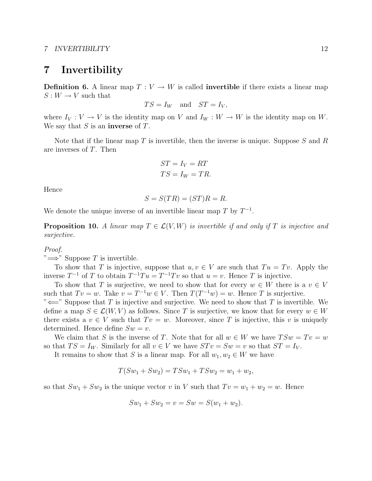### 7 Invertibility

**Definition 6.** A linear map  $T: V \to W$  is called **invertible** if there exists a linear map  $S: W \to V$  such that

$$
TS = I_W
$$
 and  $ST = I_V$ ,

where  $I_V: V \to V$  is the identity map on V and  $I_W: W \to W$  is the identity map on W. We say that  $S$  is an **inverse** of  $T$ .

Note that if the linear map  $T$  is invertible, then the inverse is unique. Suppose  $S$  and  $R$ are inverses of T. Then

$$
ST = I_V = RT
$$

$$
TS = I_W = TR.
$$

Hence

$$
S = S(TR) = (ST)R = R.
$$

We denote the unique inverse of an invertible linear map  $T$  by  $T^{-1}$ .

**Proposition 10.** A linear map  $T \in \mathcal{L}(V, W)$  is invertible if and only if T is injective and surjective.

#### Proof.

" $\Longrightarrow$ " Suppose T is invertible.

To show that T is injective, suppose that  $u, v \in V$  are such that  $Tu = Tv$ . Apply the inverse  $T^{-1}$  of T to obtain  $T^{-1}Tu = T^{-1}Tv$  so that  $u = v$ . Hence T is injective.

To show that T is surjective, we need to show that for every  $w \in W$  there is a  $v \in V$ such that  $Tv = w$ . Take  $v = T^{-1}w \in V$ . Then  $T(T^{-1}w) = w$ . Hence T is surjective.

" $\Longleftarrow$ " Suppose that T is injective and surjective. We need to show that T is invertible. We define a map  $S \in \mathcal{L}(W, V)$  as follows. Since T is surjective, we know that for every  $w \in W$ there exists a  $v \in V$  such that  $Tv = w$ . Moreover, since T is injective, this v is uniquely determined. Hence define  $Sw = v$ .

We claim that S is the inverse of T. Note that for all  $w \in W$  we have  $TSw = Tv = w$ so that  $TS = I_W$ . Similarly for all  $v \in V$  we have  $STv = Sw = v$  so that  $ST = I_V$ .

It remains to show that S is a linear map. For all  $w_1, w_2 \in W$  we have

$$
T(Sw_1 + Sw_2) = TSw_1 + TSw_2 = w_1 + w_2,
$$

so that  $Sw_1 + Sw_2$  is the unique vector v in V such that  $Tv = w_1 + w_2 = w$ . Hence

$$
Sw_1 + Sw_2 = v = Sw = S(w_1 + w_2).
$$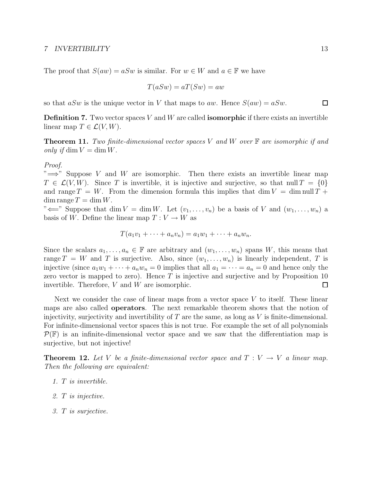The proof that  $S(aw) = aSw$  is similar. For  $w \in W$  and  $a \in \mathbb{F}$  we have

$$
T(aSw) = aT(Sw) = aw
$$

so that  $aSw$  is the unique vector in V that maps to aw. Hence  $S(aw) = aSw$ .

**Definition 7.** Two vector spaces V and W are called **isomorphic** if there exists an invertible linear map  $T \in \mathcal{L}(V, W)$ .

**Theorem 11.** Two finite-dimensional vector spaces V and W over  $\mathbb{F}$  are isomorphic if and only if  $\dim V = \dim W$ .

### Proof.

" $\implies$ " Suppose V and W are isomorphic. Then there exists an invertible linear map  $T \in \mathcal{L}(V, W)$ . Since T is invertible, it is injective and surjective, so that null  $T = \{0\}$ and range  $T = W$ . From the dimension formula this implies that dim  $V = \dim \text{null } T +$  $\dim \operatorname{range} T = \dim W.$ 

" $\Longleftarrow$ " Suppose that dim  $V = \dim W$ . Let  $(v_1, \ldots, v_n)$  be a basis of V and  $(w_1, \ldots, w_n)$  a basis of W. Define the linear map  $T: V \to W$  as

$$
T(a_1v_1+\cdots+a_nv_n)=a_1w_1+\cdots+a_nw_n.
$$

Since the scalars  $a_1, \ldots, a_n \in \mathbb{F}$  are arbitrary and  $(w_1, \ldots, w_n)$  spans W, this means that range  $T = W$  and T is surjective. Also, since  $(w_1, \ldots, w_n)$  is linearly independent, T is injective (since  $a_1w_1 + \cdots + a_nw_n = 0$  implies that all  $a_1 = \cdots = a_n = 0$  and hence only the zero vector is mapped to zero). Hence  $T$  is injective and surjective and by Proposition 10 invertible. Therefore, V and W are isomorphic.  $\Box$ 

Next we consider the case of linear maps from a vector space V to itself. These linear maps are also called operators. The next remarkable theorem shows that the notion of injectivity, surjectivity and invertibility of  $T$  are the same, as long as  $V$  is finite-dimensional. For infinite-dimensional vector spaces this is not true. For example the set of all polynomials  $\mathcal{P}(\mathbb{F})$  is an infinite-dimensional vector space and we saw that the differentiation map is surjective, but not injective!

**Theorem 12.** Let V be a finite-dimensional vector space and  $T: V \to V$  a linear map. Then the following are equivalent:

- 1. T is invertible.
- 2. T is injective.
- 3. T is surjective.